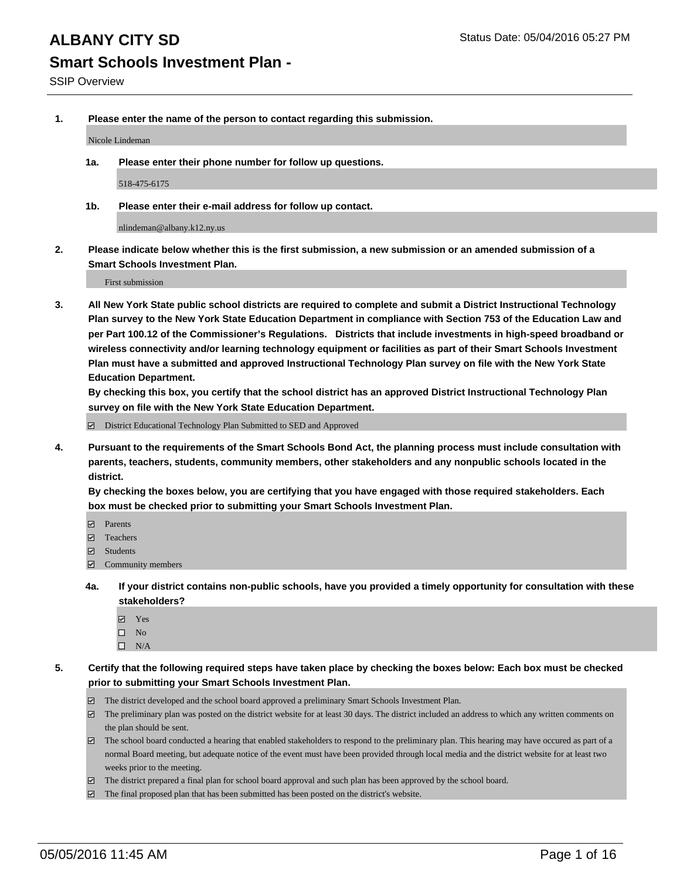**1. Please enter the name of the person to contact regarding this submission.**

Nicole Lindeman

**1a. Please enter their phone number for follow up questions.**

518-475-6175

**1b. Please enter their e-mail address for follow up contact.**

nlindeman@albany.k12.ny.us

**2. Please indicate below whether this is the first submission, a new submission or an amended submission of a Smart Schools Investment Plan.**

First submission

**3. All New York State public school districts are required to complete and submit a District Instructional Technology Plan survey to the New York State Education Department in compliance with Section 753 of the Education Law and per Part 100.12 of the Commissioner's Regulations. Districts that include investments in high-speed broadband or wireless connectivity and/or learning technology equipment or facilities as part of their Smart Schools Investment Plan must have a submitted and approved Instructional Technology Plan survey on file with the New York State Education Department.** 

**By checking this box, you certify that the school district has an approved District Instructional Technology Plan survey on file with the New York State Education Department.**

■ District Educational Technology Plan Submitted to SED and Approved

**4. Pursuant to the requirements of the Smart Schools Bond Act, the planning process must include consultation with parents, teachers, students, community members, other stakeholders and any nonpublic schools located in the district.** 

**By checking the boxes below, you are certifying that you have engaged with those required stakeholders. Each box must be checked prior to submitting your Smart Schools Investment Plan.**

- **Parents**
- □ Teachers
- Students
- $\boxdot$  Community members
- **4a. If your district contains non-public schools, have you provided a timely opportunity for consultation with these stakeholders?**
	- Yes
	- $\square$  No
	- $\Box$  N/A
- **5. Certify that the following required steps have taken place by checking the boxes below: Each box must be checked prior to submitting your Smart Schools Investment Plan.**
	- The district developed and the school board approved a preliminary Smart Schools Investment Plan.
	- The preliminary plan was posted on the district website for at least 30 days. The district included an address to which any written comments on the plan should be sent.
	- $\Box$  The school board conducted a hearing that enabled stakeholders to respond to the preliminary plan. This hearing may have occured as part of a normal Board meeting, but adequate notice of the event must have been provided through local media and the district website for at least two weeks prior to the meeting.
	- The district prepared a final plan for school board approval and such plan has been approved by the school board.
	- The final proposed plan that has been submitted has been posted on the district's website.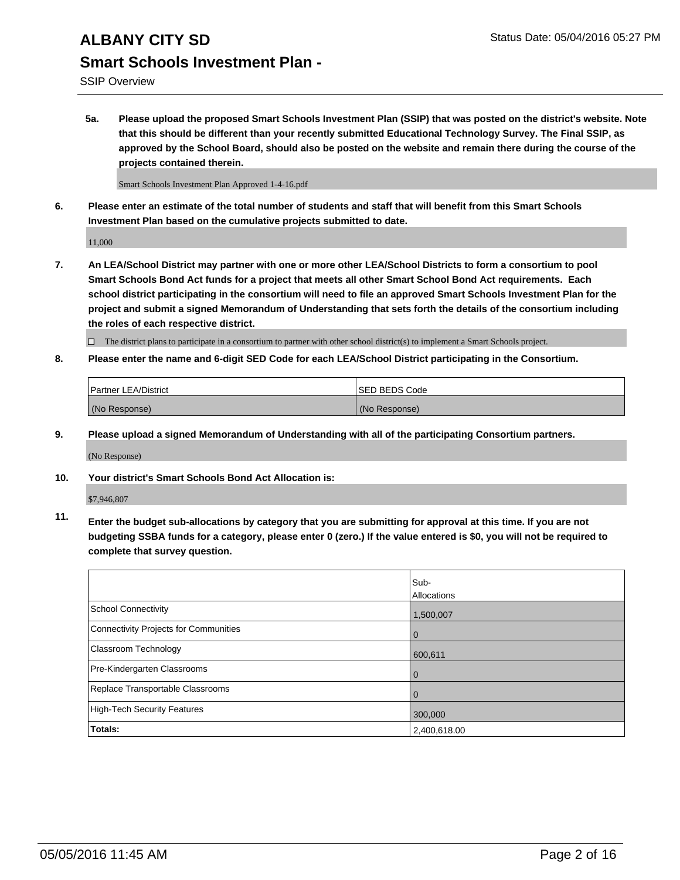SSIP Overview

**5a. Please upload the proposed Smart Schools Investment Plan (SSIP) that was posted on the district's website. Note that this should be different than your recently submitted Educational Technology Survey. The Final SSIP, as approved by the School Board, should also be posted on the website and remain there during the course of the projects contained therein.**

Smart Schools Investment Plan Approved 1-4-16.pdf

**6. Please enter an estimate of the total number of students and staff that will benefit from this Smart Schools Investment Plan based on the cumulative projects submitted to date.**

11,000

**7. An LEA/School District may partner with one or more other LEA/School Districts to form a consortium to pool Smart Schools Bond Act funds for a project that meets all other Smart School Bond Act requirements. Each school district participating in the consortium will need to file an approved Smart Schools Investment Plan for the project and submit a signed Memorandum of Understanding that sets forth the details of the consortium including the roles of each respective district.**

 $\Box$  The district plans to participate in a consortium to partner with other school district(s) to implement a Smart Schools project.

**8. Please enter the name and 6-digit SED Code for each LEA/School District participating in the Consortium.**

| <b>Partner LEA/District</b> | <b>ISED BEDS Code</b> |
|-----------------------------|-----------------------|
| (No Response)               | (No Response)         |

**9. Please upload a signed Memorandum of Understanding with all of the participating Consortium partners.**

(No Response)

**10. Your district's Smart Schools Bond Act Allocation is:**

\$7,946,807

**11. Enter the budget sub-allocations by category that you are submitting for approval at this time. If you are not budgeting SSBA funds for a category, please enter 0 (zero.) If the value entered is \$0, you will not be required to complete that survey question.**

|                                       | Sub-<br>Allocations |
|---------------------------------------|---------------------|
| <b>School Connectivity</b>            | 1,500,007           |
| Connectivity Projects for Communities | $\Omega$            |
| <b>Classroom Technology</b>           | 600,611             |
| Pre-Kindergarten Classrooms           | $\Omega$            |
| Replace Transportable Classrooms      | $\Omega$            |
| <b>High-Tech Security Features</b>    | 300,000             |
| <b>Totals:</b>                        | 2,400,618.00        |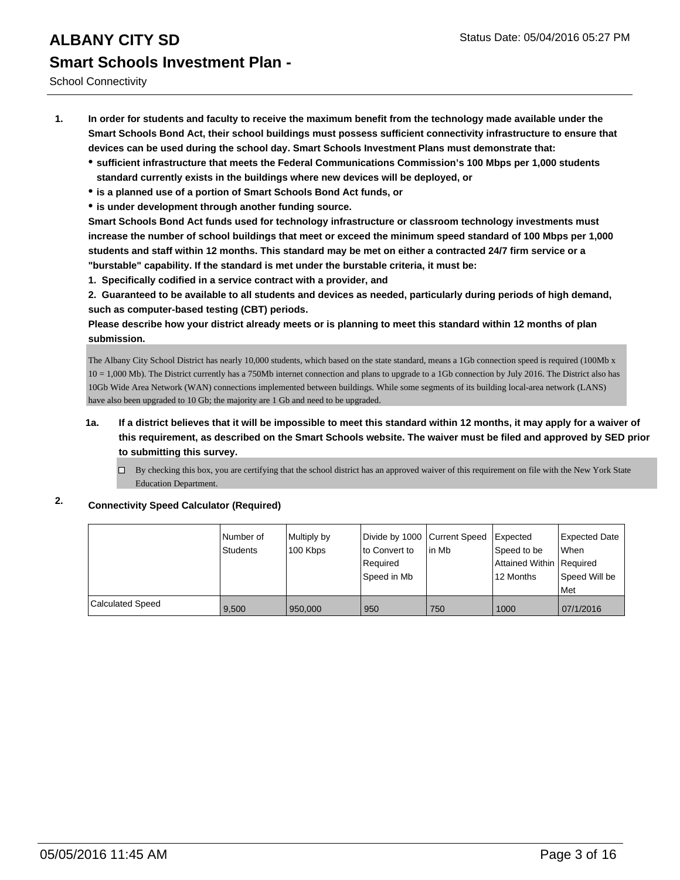School Connectivity

- **1. In order for students and faculty to receive the maximum benefit from the technology made available under the Smart Schools Bond Act, their school buildings must possess sufficient connectivity infrastructure to ensure that devices can be used during the school day. Smart Schools Investment Plans must demonstrate that:**
	- **sufficient infrastructure that meets the Federal Communications Commission's 100 Mbps per 1,000 students standard currently exists in the buildings where new devices will be deployed, or**
	- **is a planned use of a portion of Smart Schools Bond Act funds, or**
	- **is under development through another funding source.**

**Smart Schools Bond Act funds used for technology infrastructure or classroom technology investments must increase the number of school buildings that meet or exceed the minimum speed standard of 100 Mbps per 1,000 students and staff within 12 months. This standard may be met on either a contracted 24/7 firm service or a "burstable" capability. If the standard is met under the burstable criteria, it must be:**

**1. Specifically codified in a service contract with a provider, and**

**2. Guaranteed to be available to all students and devices as needed, particularly during periods of high demand, such as computer-based testing (CBT) periods.**

**Please describe how your district already meets or is planning to meet this standard within 12 months of plan submission.**

The Albany City School District has nearly 10,000 students, which based on the state standard, means a 1Gb connection speed is required (100Mb x 10 = 1,000 Mb). The District currently has a 750Mb internet connection and plans to upgrade to a 1Gb connection by July 2016. The District also has 10Gb Wide Area Network (WAN) connections implemented between buildings. While some segments of its building local-area network (LANS) have also been upgraded to 10 Gb; the majority are 1 Gb and need to be upgraded.

- **1a. If a district believes that it will be impossible to meet this standard within 12 months, it may apply for a waiver of this requirement, as described on the Smart Schools website. The waiver must be filed and approved by SED prior to submitting this survey.**
	- By checking this box, you are certifying that the school district has an approved waiver of this requirement on file with the New York State Education Department.

### **2. Connectivity Speed Calculator (Required)**

|                         | l Number of<br><b>Students</b> | Multiply by<br>100 Kbps | Divide by 1000 Current Speed<br>to Convert to<br>Reauired<br>Speed in Mb | in Mb | <b>I</b> Expected<br>Speed to be<br>Attained Within   Required<br>12 Months | <b>Expected Date</b><br>When<br>Speed Will be<br>Met |
|-------------------------|--------------------------------|-------------------------|--------------------------------------------------------------------------|-------|-----------------------------------------------------------------------------|------------------------------------------------------|
| <b>Calculated Speed</b> | 9,500                          | 950,000                 | 950                                                                      | 750   | 1000                                                                        | 07/1/2016                                            |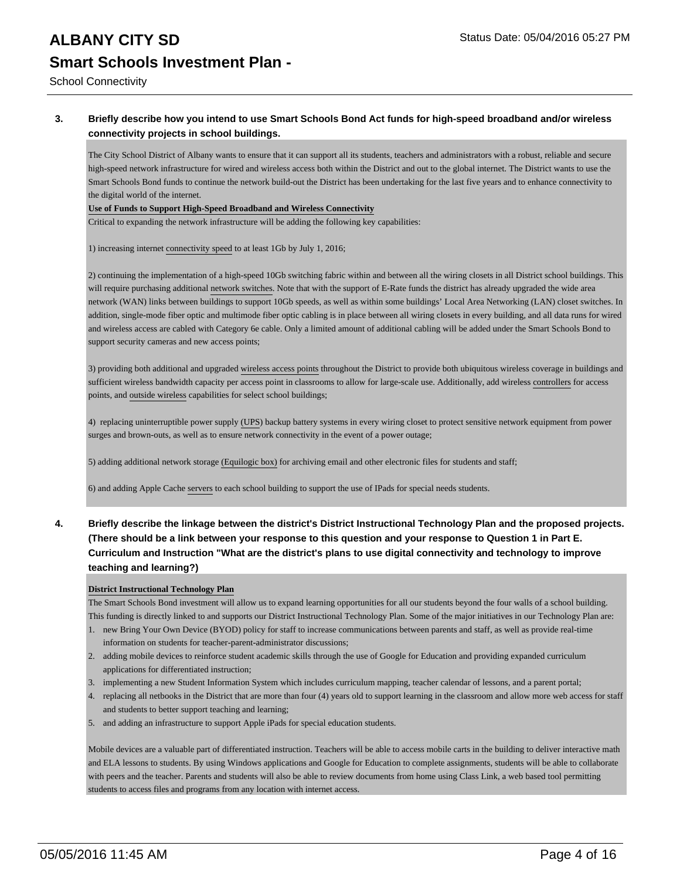School Connectivity

### **3. Briefly describe how you intend to use Smart Schools Bond Act funds for high-speed broadband and/or wireless connectivity projects in school buildings.**

The City School District of Albany wants to ensure that it can support all its students, teachers and administrators with a robust, reliable and secure high-speed network infrastructure for wired and wireless access both within the District and out to the global internet. The District wants to use the Smart Schools Bond funds to continue the network build-out the District has been undertaking for the last five years and to enhance connectivity to the digital world of the internet.

#### **Use of Funds to Support High-Speed Broadband and Wireless Connectivity**

Critical to expanding the network infrastructure will be adding the following key capabilities:

1) increasing internet connectivity speed to at least 1Gb by July 1, 2016;

2) continuing the implementation of a high-speed 10Gb switching fabric within and between all the wiring closets in all District school buildings. This will require purchasing additional network switches. Note that with the support of E-Rate funds the district has already upgraded the wide area network (WAN) links between buildings to support 10Gb speeds, as well as within some buildings' Local Area Networking (LAN) closet switches. In addition, single-mode fiber optic and multimode fiber optic cabling is in place between all wiring closets in every building, and all data runs for wired and wireless access are cabled with Category 6e cable. Only a limited amount of additional cabling will be added under the Smart Schools Bond to support security cameras and new access points;

3) providing both additional and upgraded wireless access points throughout the District to provide both ubiquitous wireless coverage in buildings and sufficient wireless bandwidth capacity per access point in classrooms to allow for large-scale use. Additionally, add wireless controllers for access points, and outside wireless capabilities for select school buildings;

4) replacing uninterruptible power supply (UPS) backup battery systems in every wiring closet to protect sensitive network equipment from power surges and brown-outs, as well as to ensure network connectivity in the event of a power outage;

5) adding additional network storage (Equilogic box) for archiving email and other electronic files for students and staff;

6) and adding Apple Cache servers to each school building to support the use of IPads for special needs students.

**4. Briefly describe the linkage between the district's District Instructional Technology Plan and the proposed projects. (There should be a link between your response to this question and your response to Question 1 in Part E. Curriculum and Instruction "What are the district's plans to use digital connectivity and technology to improve teaching and learning?)**

#### **District Instructional Technology Plan**

The Smart Schools Bond investment will allow us to expand learning opportunities for all our students beyond the four walls of a school building. This funding is directly linked to and supports our District Instructional Technology Plan. Some of the major initiatives in our Technology Plan are:

- 1. new Bring Your Own Device (BYOD) policy for staff to increase communications between parents and staff, as well as provide real-time information on students for teacher-parent-administrator discussions;
- 2. adding mobile devices to reinforce student academic skills through the use of Google for Education and providing expanded curriculum applications for differentiated instruction;
- 3. implementing a new Student Information System which includes curriculum mapping, teacher calendar of lessons, and a parent portal;
- 4. replacing all netbooks in the District that are more than four (4) years old to support learning in the classroom and allow more web access for staff and students to better support teaching and learning;
- 5. and adding an infrastructure to support Apple iPads for special education students.

Mobile devices are a valuable part of differentiated instruction. Teachers will be able to access mobile carts in the building to deliver interactive math and ELA lessons to students. By using Windows applications and Google for Education to complete assignments, students will be able to collaborate with peers and the teacher. Parents and students will also be able to review documents from home using Class Link, a web based tool permitting students to access files and programs from any location with internet access.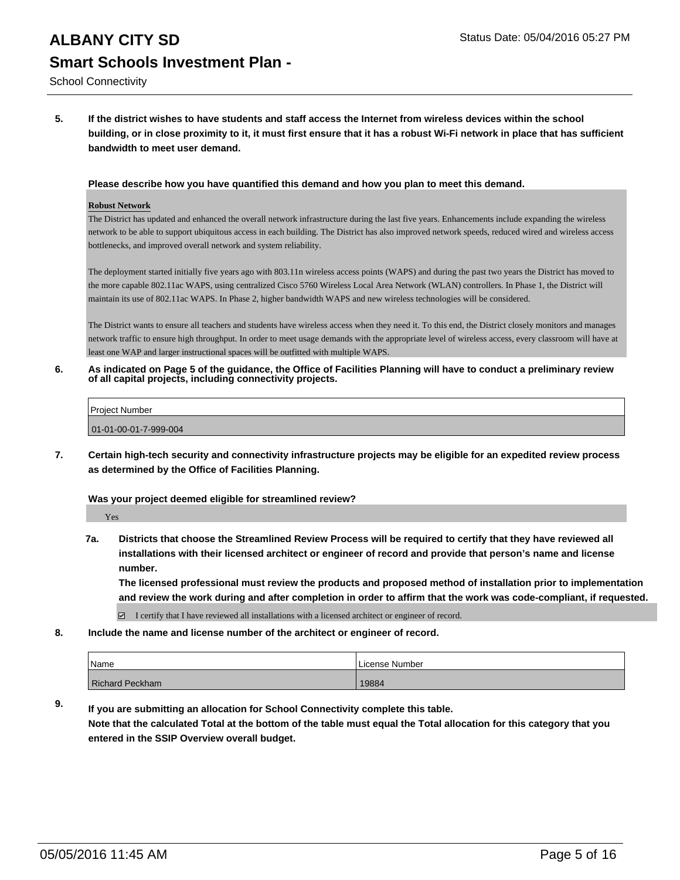School Connectivity

**5. If the district wishes to have students and staff access the Internet from wireless devices within the school building, or in close proximity to it, it must first ensure that it has a robust Wi-Fi network in place that has sufficient bandwidth to meet user demand.**

#### **Please describe how you have quantified this demand and how you plan to meet this demand.**

#### **Robust Network**

The District has updated and enhanced the overall network infrastructure during the last five years. Enhancements include expanding the wireless network to be able to support ubiquitous access in each building. The District has also improved network speeds, reduced wired and wireless access bottlenecks, and improved overall network and system reliability.

The deployment started initially five years ago with 803.11n wireless access points (WAPS) and during the past two years the District has moved to the more capable 802.11ac WAPS, using centralized Cisco 5760 Wireless Local Area Network (WLAN) controllers. In Phase 1, the District will maintain its use of 802.11ac WAPS. In Phase 2, higher bandwidth WAPS and new wireless technologies will be considered.

The District wants to ensure all teachers and students have wireless access when they need it. To this end, the District closely monitors and manages network traffic to ensure high throughput. In order to meet usage demands with the appropriate level of wireless access, every classroom will have at least one WAP and larger instructional spaces will be outfitted with multiple WAPS.

**6. As indicated on Page 5 of the guidance, the Office of Facilities Planning will have to conduct a preliminary review of all capital projects, including connectivity projects.**

| <b>Project Number</b> |  |
|-----------------------|--|
| 01-01-00-01-7-999-004 |  |
|                       |  |

**7. Certain high-tech security and connectivity infrastructure projects may be eligible for an expedited review process as determined by the Office of Facilities Planning.**

#### **Was your project deemed eligible for streamlined review?**

Yes

**7a. Districts that choose the Streamlined Review Process will be required to certify that they have reviewed all installations with their licensed architect or engineer of record and provide that person's name and license number.**

**The licensed professional must review the products and proposed method of installation prior to implementation and review the work during and after completion in order to affirm that the work was code-compliant, if requested.**

■ I certify that I have reviewed all installations with a licensed architect or engineer of record.

**8. Include the name and license number of the architect or engineer of record.**

| <i>Name</i>     | License Number |
|-----------------|----------------|
| Richard Peckham | 19884          |

**9. If you are submitting an allocation for School Connectivity complete this table. Note that the calculated Total at the bottom of the table must equal the Total allocation for this category that you entered in the SSIP Overview overall budget.**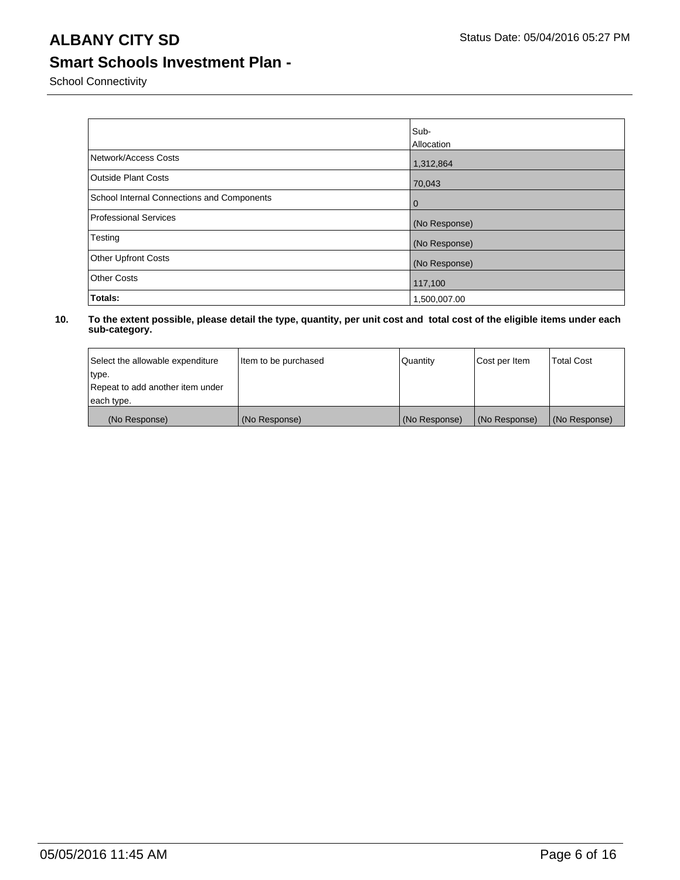School Connectivity

|                                            | Sub-          |
|--------------------------------------------|---------------|
|                                            | Allocation    |
| Network/Access Costs                       | 1,312,864     |
| <b>Outside Plant Costs</b>                 | 70,043        |
| School Internal Connections and Components | 0             |
| <b>Professional Services</b>               | (No Response) |
| Testing                                    | (No Response) |
| <b>Other Upfront Costs</b>                 | (No Response) |
| <b>Other Costs</b>                         | 117,100       |
| Totals:                                    | 1,500,007.00  |

| Select the allowable expenditure | Item to be purchased | Quantity      | Cost per Item | <b>Total Cost</b> |
|----------------------------------|----------------------|---------------|---------------|-------------------|
| type.                            |                      |               |               |                   |
| Repeat to add another item under |                      |               |               |                   |
| each type.                       |                      |               |               |                   |
| (No Response)                    | (No Response)        | (No Response) | (No Response) | (No Response)     |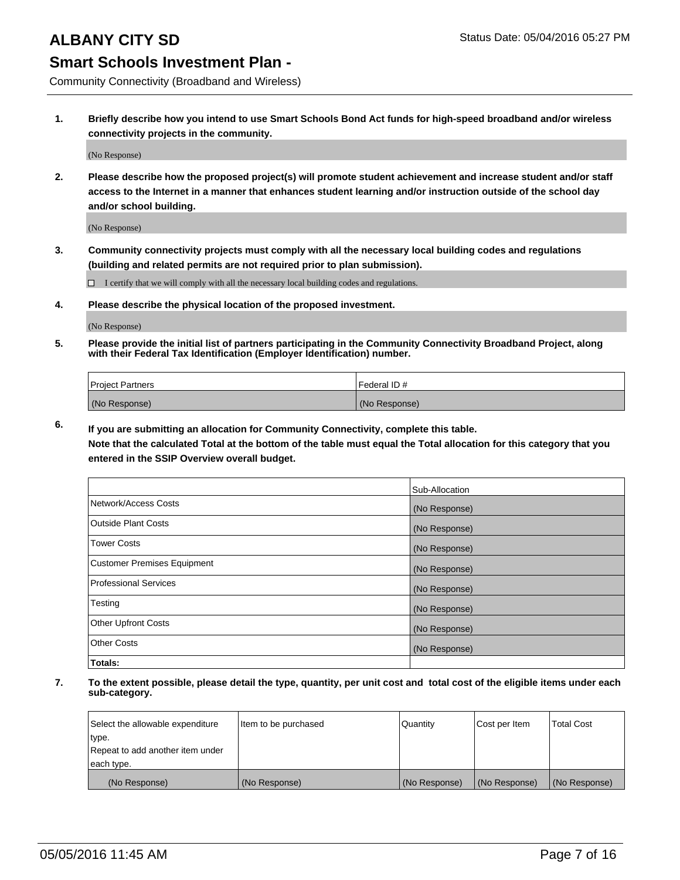Community Connectivity (Broadband and Wireless)

**1. Briefly describe how you intend to use Smart Schools Bond Act funds for high-speed broadband and/or wireless connectivity projects in the community.**

(No Response)

**2. Please describe how the proposed project(s) will promote student achievement and increase student and/or staff access to the Internet in a manner that enhances student learning and/or instruction outside of the school day and/or school building.**

(No Response)

**3. Community connectivity projects must comply with all the necessary local building codes and regulations (building and related permits are not required prior to plan submission).**

 $\Box$  I certify that we will comply with all the necessary local building codes and regulations.

**4. Please describe the physical location of the proposed investment.**

(No Response)

**5. Please provide the initial list of partners participating in the Community Connectivity Broadband Project, along with their Federal Tax Identification (Employer Identification) number.**

| <b>Project Partners</b> | I Federal ID # |
|-------------------------|----------------|
| (No Response)           | (No Response)  |

**6. If you are submitting an allocation for Community Connectivity, complete this table.**

**Note that the calculated Total at the bottom of the table must equal the Total allocation for this category that you entered in the SSIP Overview overall budget.**

|                                    | Sub-Allocation |
|------------------------------------|----------------|
| Network/Access Costs               | (No Response)  |
| Outside Plant Costs                | (No Response)  |
| <b>Tower Costs</b>                 | (No Response)  |
| <b>Customer Premises Equipment</b> | (No Response)  |
| Professional Services              | (No Response)  |
| Testing                            | (No Response)  |
| <b>Other Upfront Costs</b>         | (No Response)  |
| Other Costs                        | (No Response)  |
| Totals:                            |                |

| Select the allowable expenditure | litem to be purchased | Quantity      | Cost per Item | <b>Total Cost</b> |
|----------------------------------|-----------------------|---------------|---------------|-------------------|
| type.                            |                       |               |               |                   |
| Repeat to add another item under |                       |               |               |                   |
| each type.                       |                       |               |               |                   |
| (No Response)                    | (No Response)         | (No Response) | (No Response) | (No Response)     |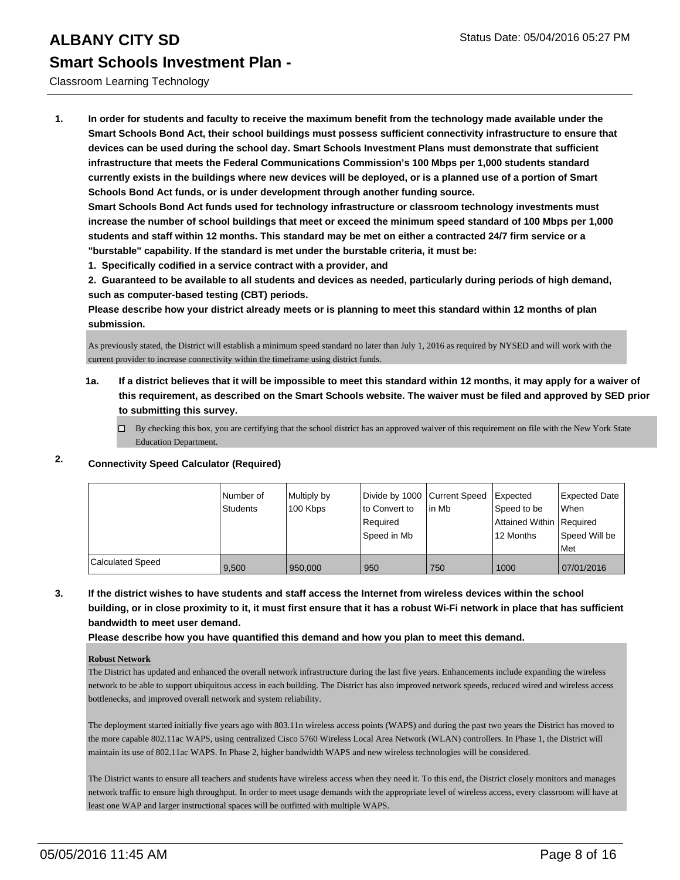### Classroom Learning Technology

**1. In order for students and faculty to receive the maximum benefit from the technology made available under the Smart Schools Bond Act, their school buildings must possess sufficient connectivity infrastructure to ensure that devices can be used during the school day. Smart Schools Investment Plans must demonstrate that sufficient infrastructure that meets the Federal Communications Commission's 100 Mbps per 1,000 students standard currently exists in the buildings where new devices will be deployed, or is a planned use of a portion of Smart Schools Bond Act funds, or is under development through another funding source.**

**Smart Schools Bond Act funds used for technology infrastructure or classroom technology investments must increase the number of school buildings that meet or exceed the minimum speed standard of 100 Mbps per 1,000 students and staff within 12 months. This standard may be met on either a contracted 24/7 firm service or a "burstable" capability. If the standard is met under the burstable criteria, it must be:**

**1. Specifically codified in a service contract with a provider, and**

**2. Guaranteed to be available to all students and devices as needed, particularly during periods of high demand, such as computer-based testing (CBT) periods.**

**Please describe how your district already meets or is planning to meet this standard within 12 months of plan submission.**

As previously stated, the District will establish a minimum speed standard no later than July 1, 2016 as required by NYSED and will work with the current provider to increase connectivity within the timeframe using district funds.

- **1a. If a district believes that it will be impossible to meet this standard within 12 months, it may apply for a waiver of this requirement, as described on the Smart Schools website. The waiver must be filed and approved by SED prior to submitting this survey.**
	- $\Box$  By checking this box, you are certifying that the school district has an approved waiver of this requirement on file with the New York State Education Department.

### **2. Connectivity Speed Calculator (Required)**

|                         | Number of<br>Students | Multiply by<br>100 Kbps | Ito Convert to<br>Required<br> Speed in Mb | Divide by 1000 Current Speed Expected<br>lin Mb | Speed to be<br>Attained Within   Required<br>12 Months | Expected Date<br><b>When</b><br>Speed Will be<br>l Met |
|-------------------------|-----------------------|-------------------------|--------------------------------------------|-------------------------------------------------|--------------------------------------------------------|--------------------------------------------------------|
| <b>Calculated Speed</b> | 9.500                 | 950,000                 | 950                                        | 750                                             | 1000                                                   | 07/01/2016                                             |

**3. If the district wishes to have students and staff access the Internet from wireless devices within the school building, or in close proximity to it, it must first ensure that it has a robust Wi-Fi network in place that has sufficient bandwidth to meet user demand.**

**Please describe how you have quantified this demand and how you plan to meet this demand.**

#### **Robust Network**

The District has updated and enhanced the overall network infrastructure during the last five years. Enhancements include expanding the wireless network to be able to support ubiquitous access in each building. The District has also improved network speeds, reduced wired and wireless access bottlenecks, and improved overall network and system reliability.

The deployment started initially five years ago with 803.11n wireless access points (WAPS) and during the past two years the District has moved to the more capable 802.11ac WAPS, using centralized Cisco 5760 Wireless Local Area Network (WLAN) controllers. In Phase 1, the District will maintain its use of 802.11ac WAPS. In Phase 2, higher bandwidth WAPS and new wireless technologies will be considered.

The District wants to ensure all teachers and students have wireless access when they need it. To this end, the District closely monitors and manages network traffic to ensure high throughput. In order to meet usage demands with the appropriate level of wireless access, every classroom will have at least one WAP and larger instructional spaces will be outfitted with multiple WAPS.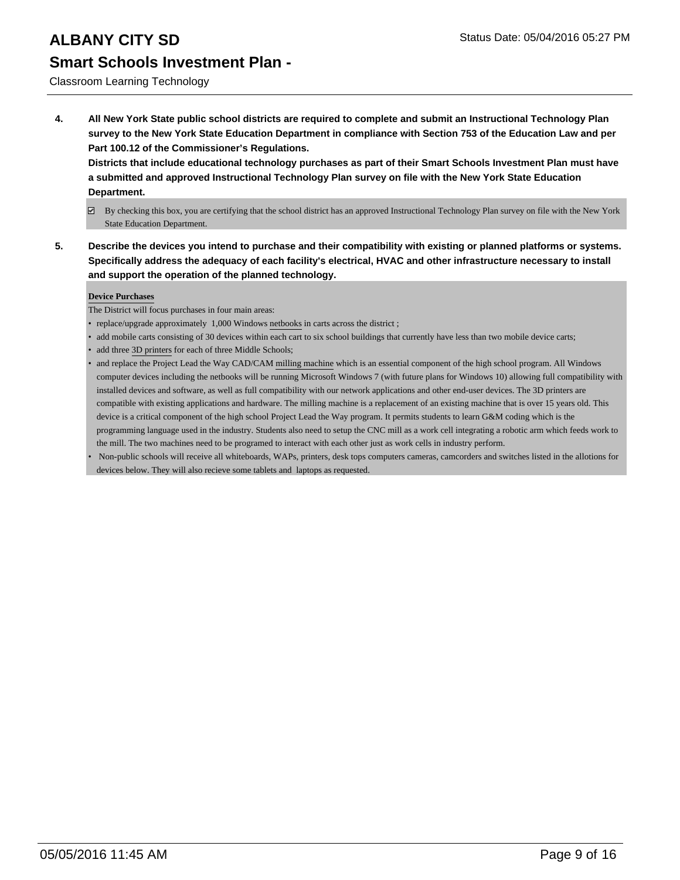### Classroom Learning Technology

**4. All New York State public school districts are required to complete and submit an Instructional Technology Plan survey to the New York State Education Department in compliance with Section 753 of the Education Law and per Part 100.12 of the Commissioner's Regulations.**

**Districts that include educational technology purchases as part of their Smart Schools Investment Plan must have a submitted and approved Instructional Technology Plan survey on file with the New York State Education Department.**

- $\boxdot$  By checking this box, you are certifying that the school district has an approved Instructional Technology Plan survey on file with the New York State Education Department.
- **5. Describe the devices you intend to purchase and their compatibility with existing or planned platforms or systems. Specifically address the adequacy of each facility's electrical, HVAC and other infrastructure necessary to install and support the operation of the planned technology.**

#### **Device Purchases**

The District will focus purchases in four main areas:

- replace/upgrade approximately 1,000 Windows netbooks in carts across the district ;
- add mobile carts consisting of 30 devices within each cart to six school buildings that currently have less than two mobile device carts;
- add three 3D printers for each of three Middle Schools;
- and replace the Project Lead the Way CAD/CAM milling machine which is an essential component of the high school program. All Windows computer devices including the netbooks will be running Microsoft Windows 7 (with future plans for Windows 10) allowing full compatibility with installed devices and software, as well as full compatibility with our network applications and other end-user devices. The 3D printers are compatible with existing applications and hardware. The milling machine is a replacement of an existing machine that is over 15 years old. This device is a critical component of the high school Project Lead the Way program. It permits students to learn G&M coding which is the programming language used in the industry. Students also need to setup the CNC mill as a work cell integrating a robotic arm which feeds work to the mill. The two machines need to be programed to interact with each other just as work cells in industry perform.
- Non-public schools will receive all whiteboards, WAPs, printers, desk tops computers cameras, camcorders and switches listed in the allotions for devices below. They will also recieve some tablets and laptops as requested. •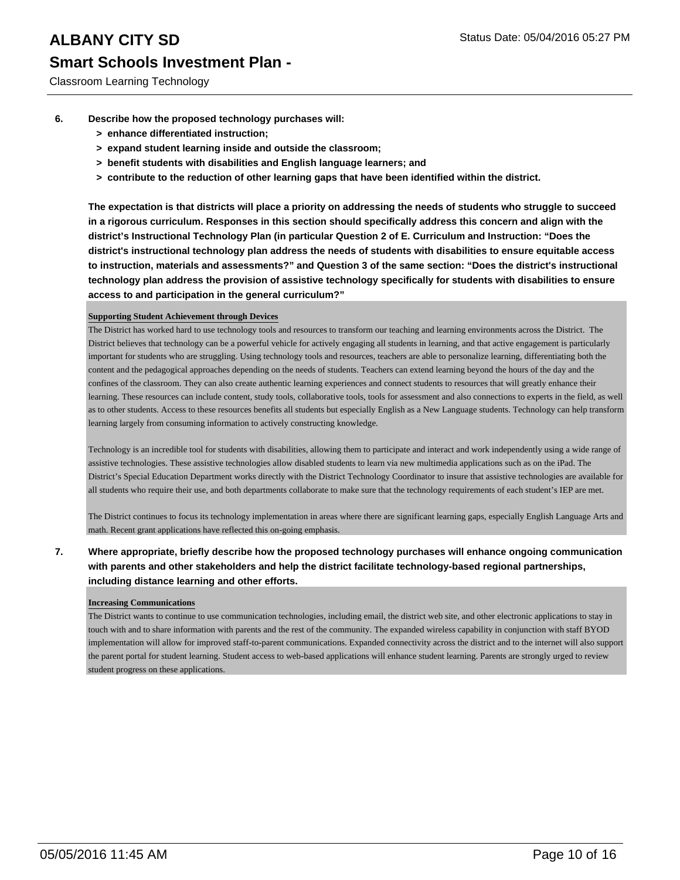- **6. Describe how the proposed technology purchases will:**
	- **> enhance differentiated instruction;**
	- **> expand student learning inside and outside the classroom;**
	- **> benefit students with disabilities and English language learners; and**
	- **> contribute to the reduction of other learning gaps that have been identified within the district.**

**The expectation is that districts will place a priority on addressing the needs of students who struggle to succeed in a rigorous curriculum. Responses in this section should specifically address this concern and align with the district's Instructional Technology Plan (in particular Question 2 of E. Curriculum and Instruction: "Does the district's instructional technology plan address the needs of students with disabilities to ensure equitable access to instruction, materials and assessments?" and Question 3 of the same section: "Does the district's instructional technology plan address the provision of assistive technology specifically for students with disabilities to ensure access to and participation in the general curriculum?"**

#### **Supporting Student Achievement through Devices**

The District has worked hard to use technology tools and resources to transform our teaching and learning environments across the District. The District believes that technology can be a powerful vehicle for actively engaging all students in learning, and that active engagement is particularly important for students who are struggling. Using technology tools and resources, teachers are able to personalize learning, differentiating both the content and the pedagogical approaches depending on the needs of students. Teachers can extend learning beyond the hours of the day and the confines of the classroom. They can also create authentic learning experiences and connect students to resources that will greatly enhance their learning. These resources can include content, study tools, collaborative tools, tools for assessment and also connections to experts in the field, as well as to other students. Access to these resources benefits all students but especially English as a New Language students. Technology can help transform learning largely from consuming information to actively constructing knowledge.

Technology is an incredible tool for students with disabilities, allowing them to participate and interact and work independently using a wide range of assistive technologies. These assistive technologies allow disabled students to learn via new multimedia applications such as on the iPad. The District's Special Education Department works directly with the District Technology Coordinator to insure that assistive technologies are available for all students who require their use, and both departments collaborate to make sure that the technology requirements of each student's IEP are met.

The District continues to focus its technology implementation in areas where there are significant learning gaps, especially English Language Arts and math. Recent grant applications have reflected this on-going emphasis.

### **7. Where appropriate, briefly describe how the proposed technology purchases will enhance ongoing communication with parents and other stakeholders and help the district facilitate technology-based regional partnerships, including distance learning and other efforts.**

#### **Increasing Communications**

The District wants to continue to use communication technologies, including email, the district web site, and other electronic applications to stay in touch with and to share information with parents and the rest of the community. The expanded wireless capability in conjunction with staff BYOD implementation will allow for improved staff-to-parent communications. Expanded connectivity across the district and to the internet will also support the parent portal for student learning. Student access to web-based applications will enhance student learning. Parents are strongly urged to review student progress on these applications.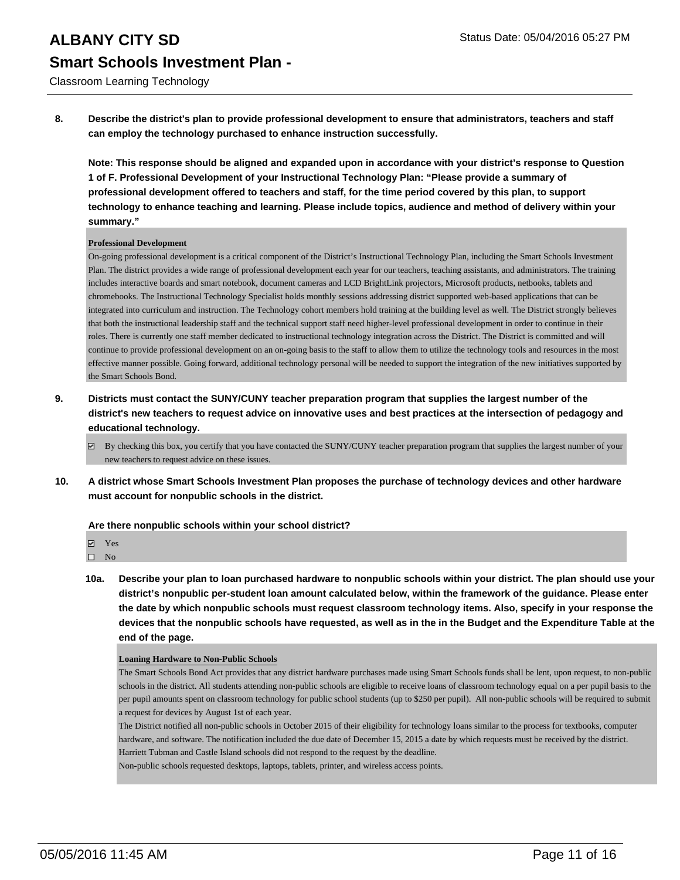Classroom Learning Technology

**8. Describe the district's plan to provide professional development to ensure that administrators, teachers and staff can employ the technology purchased to enhance instruction successfully.**

**Note: This response should be aligned and expanded upon in accordance with your district's response to Question 1 of F. Professional Development of your Instructional Technology Plan: "Please provide a summary of professional development offered to teachers and staff, for the time period covered by this plan, to support technology to enhance teaching and learning. Please include topics, audience and method of delivery within your summary."**

#### **Professional Development**

On-going professional development is a critical component of the District's Instructional Technology Plan, including the Smart Schools Investment Plan. The district provides a wide range of professional development each year for our teachers, teaching assistants, and administrators. The training includes interactive boards and smart notebook, document cameras and LCD BrightLink projectors, Microsoft products, netbooks, tablets and chromebooks. The Instructional Technology Specialist holds monthly sessions addressing district supported web-based applications that can be integrated into curriculum and instruction. The Technology cohort members hold training at the building level as well. The District strongly believes that both the instructional leadership staff and the technical support staff need higher-level professional development in order to continue in their roles. There is currently one staff member dedicated to instructional technology integration across the District. The District is committed and will continue to provide professional development on an on-going basis to the staff to allow them to utilize the technology tools and resources in the most effective manner possible. Going forward, additional technology personal will be needed to support the integration of the new initiatives supported by the Smart Schools Bond.

- **9. Districts must contact the SUNY/CUNY teacher preparation program that supplies the largest number of the district's new teachers to request advice on innovative uses and best practices at the intersection of pedagogy and educational technology.**
	- $\boxtimes$  By checking this box, you certify that you have contacted the SUNY/CUNY teacher preparation program that supplies the largest number of your new teachers to request advice on these issues.
- **10. A district whose Smart Schools Investment Plan proposes the purchase of technology devices and other hardware must account for nonpublic schools in the district.**

#### **Are there nonpublic schools within your school district?**

 $\square$  No

**10a. Describe your plan to loan purchased hardware to nonpublic schools within your district. The plan should use your district's nonpublic per-student loan amount calculated below, within the framework of the guidance. Please enter the date by which nonpublic schools must request classroom technology items. Also, specify in your response the devices that the nonpublic schools have requested, as well as in the in the Budget and the Expenditure Table at the end of the page.**

#### **Loaning Hardware to Non-Public Schools**

The Smart Schools Bond Act provides that any district hardware purchases made using Smart Schools funds shall be lent, upon request, to non-public schools in the district. All students attending non-public schools are eligible to receive loans of classroom technology equal on a per pupil basis to the per pupil amounts spent on classroom technology for public school students (up to \$250 per pupil). All non-public schools will be required to submit a request for devices by August 1st of each year.

The District notified all non-public schools in October 2015 of their eligibility for technology loans similar to the process for textbooks, computer hardware, and software. The notification included the due date of December 15, 2015 a date by which requests must be received by the district. Harriett Tubman and Castle Island schools did not respond to the request by the deadline.

Non-public schools requested desktops, laptops, tablets, printer, and wireless access points.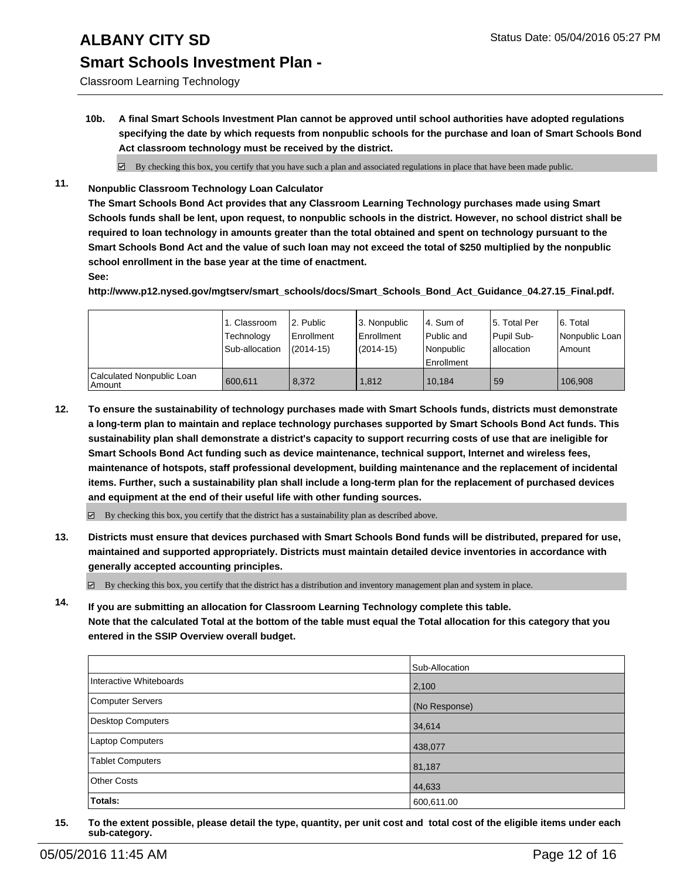# **ALBANY CITY SD** Status Date: 05/04/2016 05:27 PM

### **Smart Schools Investment Plan -**

Classroom Learning Technology

**10b. A final Smart Schools Investment Plan cannot be approved until school authorities have adopted regulations specifying the date by which requests from nonpublic schools for the purchase and loan of Smart Schools Bond Act classroom technology must be received by the district.**

 $\boxtimes$  By checking this box, you certify that you have such a plan and associated regulations in place that have been made public.

**11. Nonpublic Classroom Technology Loan Calculator**

**The Smart Schools Bond Act provides that any Classroom Learning Technology purchases made using Smart Schools funds shall be lent, upon request, to nonpublic schools in the district. However, no school district shall be required to loan technology in amounts greater than the total obtained and spent on technology pursuant to the Smart Schools Bond Act and the value of such loan may not exceed the total of \$250 multiplied by the nonpublic school enrollment in the base year at the time of enactment.**

**See:**

**http://www.p12.nysed.gov/mgtserv/smart\_schools/docs/Smart\_Schools\_Bond\_Act\_Guidance\_04.27.15\_Final.pdf.**

|                                       | 1. Classroom<br>Technology<br>Sub-allocation | 2. Public<br><b>Enrollment</b><br>$(2014-15)$ | 3. Nonpublic<br>Enrollment<br>$(2014-15)$ | l 4. Sum of<br>l Public and<br>Nonpublic<br>Enrollment | 5. Total Per<br>Pupil Sub-<br>lallocation | 6. Total<br>Nonpublic Loan<br>Amount |
|---------------------------------------|----------------------------------------------|-----------------------------------------------|-------------------------------------------|--------------------------------------------------------|-------------------------------------------|--------------------------------------|
| Calculated Nonpublic Loan<br>  Amount | 600.611                                      | 8.372                                         | 1.812                                     | 10.184                                                 | 59                                        | 106.908                              |

**12. To ensure the sustainability of technology purchases made with Smart Schools funds, districts must demonstrate a long-term plan to maintain and replace technology purchases supported by Smart Schools Bond Act funds. This sustainability plan shall demonstrate a district's capacity to support recurring costs of use that are ineligible for Smart Schools Bond Act funding such as device maintenance, technical support, Internet and wireless fees, maintenance of hotspots, staff professional development, building maintenance and the replacement of incidental items. Further, such a sustainability plan shall include a long-term plan for the replacement of purchased devices and equipment at the end of their useful life with other funding sources.**

 $\boxtimes$  By checking this box, you certify that the district has a sustainability plan as described above.

**13. Districts must ensure that devices purchased with Smart Schools Bond funds will be distributed, prepared for use, maintained and supported appropriately. Districts must maintain detailed device inventories in accordance with generally accepted accounting principles.**

 $\boxtimes$  By checking this box, you certify that the district has a distribution and inventory management plan and system in place.

**14. If you are submitting an allocation for Classroom Learning Technology complete this table. Note that the calculated Total at the bottom of the table must equal the Total allocation for this category that you entered in the SSIP Overview overall budget.**

|                          | Sub-Allocation |
|--------------------------|----------------|
| Interactive Whiteboards  | 2,100          |
| Computer Servers         | (No Response)  |
| <b>Desktop Computers</b> | 34,614         |
| Laptop Computers         | 438,077        |
| <b>Tablet Computers</b>  | 81,187         |
| <b>Other Costs</b>       | 44,633         |
| Totals:                  | 600,611.00     |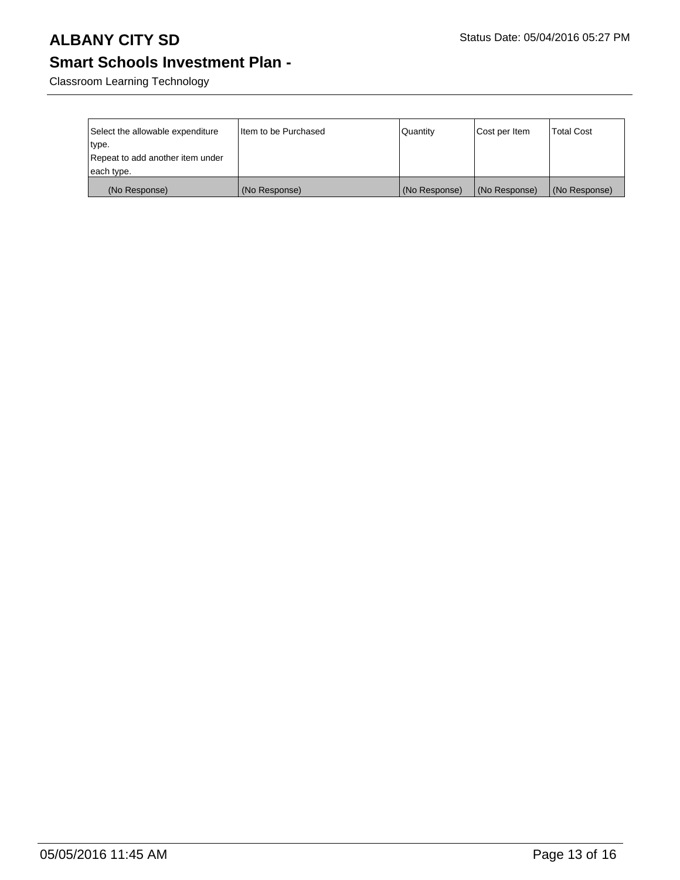# **ALBANY CITY SD** Status Date: 05/04/2016 05:27 PM

## **Smart Schools Investment Plan -**

Classroom Learning Technology

| Select the allowable expenditure<br>∣type.     | I Item to be Purchased | Quantity      | Cost per Item | <b>Total Cost</b> |
|------------------------------------------------|------------------------|---------------|---------------|-------------------|
| Repeat to add another item under<br>each type. |                        |               |               |                   |
| (No Response)                                  | (No Response)          | (No Response) | (No Response) | (No Response)     |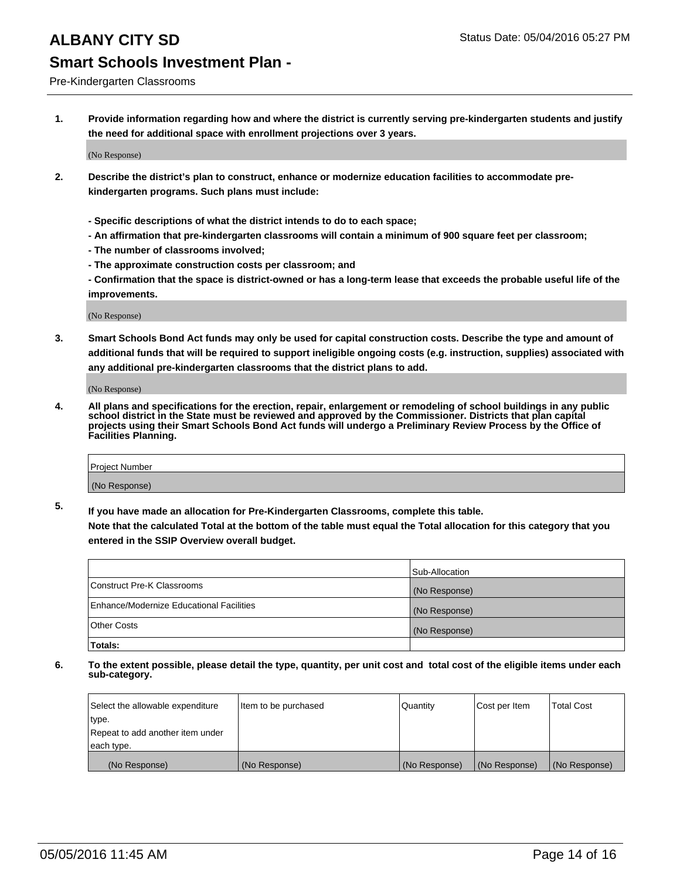#### Pre-Kindergarten Classrooms

**1. Provide information regarding how and where the district is currently serving pre-kindergarten students and justify the need for additional space with enrollment projections over 3 years.**

(No Response)

- **2. Describe the district's plan to construct, enhance or modernize education facilities to accommodate prekindergarten programs. Such plans must include:**
	- **Specific descriptions of what the district intends to do to each space;**
	- **An affirmation that pre-kindergarten classrooms will contain a minimum of 900 square feet per classroom;**
	- **The number of classrooms involved;**
	- **The approximate construction costs per classroom; and**
	- **Confirmation that the space is district-owned or has a long-term lease that exceeds the probable useful life of the improvements.**

(No Response)

**3. Smart Schools Bond Act funds may only be used for capital construction costs. Describe the type and amount of additional funds that will be required to support ineligible ongoing costs (e.g. instruction, supplies) associated with any additional pre-kindergarten classrooms that the district plans to add.**

(No Response)

**4. All plans and specifications for the erection, repair, enlargement or remodeling of school buildings in any public school district in the State must be reviewed and approved by the Commissioner. Districts that plan capital projects using their Smart Schools Bond Act funds will undergo a Preliminary Review Process by the Office of Facilities Planning.**

| Project Number |  |
|----------------|--|
| (No Response)  |  |

**5. If you have made an allocation for Pre-Kindergarten Classrooms, complete this table. Note that the calculated Total at the bottom of the table must equal the Total allocation for this category that you**

**entered in the SSIP Overview overall budget.**

|                                          | Sub-Allocation |
|------------------------------------------|----------------|
| Construct Pre-K Classrooms               | (No Response)  |
| Enhance/Modernize Educational Facilities | (No Response)  |
| Other Costs                              | (No Response)  |
| Totals:                                  |                |

| Select the allowable expenditure | Item to be purchased | Quantity      | Cost per Item | <b>Total Cost</b> |
|----------------------------------|----------------------|---------------|---------------|-------------------|
| type.                            |                      |               |               |                   |
| Repeat to add another item under |                      |               |               |                   |
| each type.                       |                      |               |               |                   |
| (No Response)                    | (No Response)        | (No Response) | (No Response) | (No Response)     |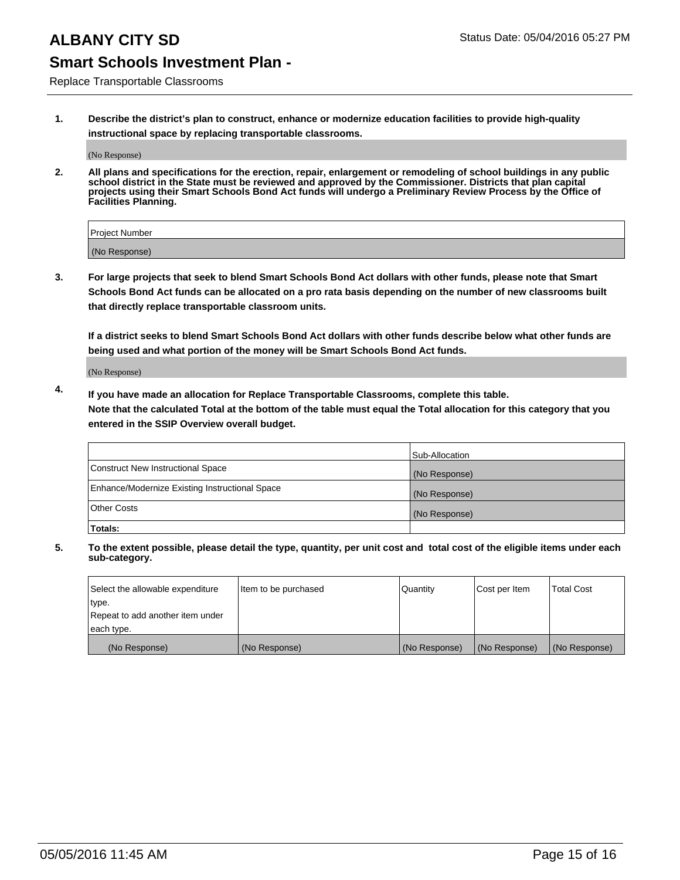Replace Transportable Classrooms

**1. Describe the district's plan to construct, enhance or modernize education facilities to provide high-quality instructional space by replacing transportable classrooms.**

(No Response)

**2. All plans and specifications for the erection, repair, enlargement or remodeling of school buildings in any public school district in the State must be reviewed and approved by the Commissioner. Districts that plan capital projects using their Smart Schools Bond Act funds will undergo a Preliminary Review Process by the Office of Facilities Planning.**

| Project Number |  |
|----------------|--|
| (No Response)  |  |

**3. For large projects that seek to blend Smart Schools Bond Act dollars with other funds, please note that Smart Schools Bond Act funds can be allocated on a pro rata basis depending on the number of new classrooms built that directly replace transportable classroom units.**

**If a district seeks to blend Smart Schools Bond Act dollars with other funds describe below what other funds are being used and what portion of the money will be Smart Schools Bond Act funds.**

(No Response)

**4. If you have made an allocation for Replace Transportable Classrooms, complete this table. Note that the calculated Total at the bottom of the table must equal the Total allocation for this category that you entered in the SSIP Overview overall budget.**

|                                                | Sub-Allocation |
|------------------------------------------------|----------------|
| Construct New Instructional Space              | (No Response)  |
| Enhance/Modernize Existing Instructional Space | (No Response)  |
| <b>Other Costs</b>                             | (No Response)  |
| Totals:                                        |                |

| Select the allowable expenditure | Item to be purchased | Quantity      | Cost per Item | <b>Total Cost</b> |
|----------------------------------|----------------------|---------------|---------------|-------------------|
| type.                            |                      |               |               |                   |
| Repeat to add another item under |                      |               |               |                   |
| each type.                       |                      |               |               |                   |
| (No Response)                    | (No Response)        | (No Response) | (No Response) | (No Response)     |